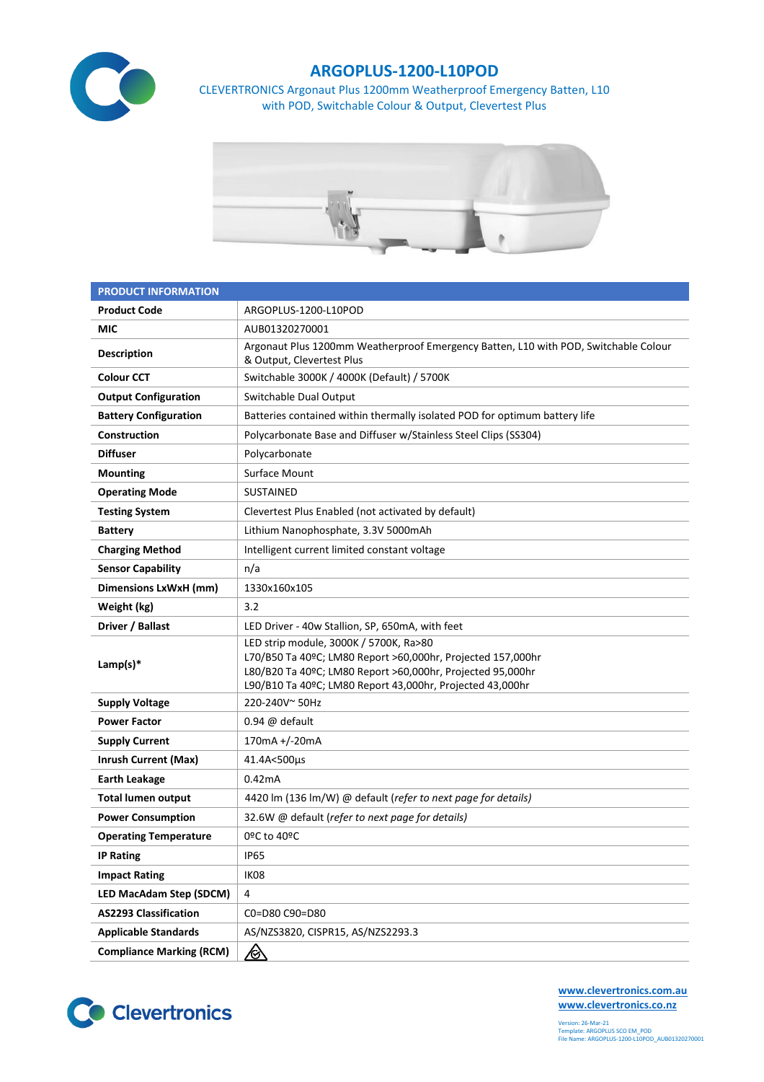

## **ARGOPLUS-1200-L10POD**

CLEVERTRONICS Argonaut Plus 1200mm Weatherproof Emergency Batten, L10 with POD, Switchable Colour & Output, Clevertest Plus



| <b>PRODUCT INFORMATION</b>      |                                                                                                                                                                                                                                  |  |  |  |
|---------------------------------|----------------------------------------------------------------------------------------------------------------------------------------------------------------------------------------------------------------------------------|--|--|--|
| <b>Product Code</b>             | ARGOPLUS-1200-L10POD                                                                                                                                                                                                             |  |  |  |
| MIC                             | AUB01320270001                                                                                                                                                                                                                   |  |  |  |
| <b>Description</b>              | Argonaut Plus 1200mm Weatherproof Emergency Batten, L10 with POD, Switchable Colour<br>& Output, Clevertest Plus                                                                                                                 |  |  |  |
| <b>Colour CCT</b>               | Switchable 3000K / 4000K (Default) / 5700K                                                                                                                                                                                       |  |  |  |
| <b>Output Configuration</b>     | Switchable Dual Output                                                                                                                                                                                                           |  |  |  |
| <b>Battery Configuration</b>    | Batteries contained within thermally isolated POD for optimum battery life                                                                                                                                                       |  |  |  |
| Construction                    | Polycarbonate Base and Diffuser w/Stainless Steel Clips (SS304)                                                                                                                                                                  |  |  |  |
| <b>Diffuser</b>                 | Polycarbonate                                                                                                                                                                                                                    |  |  |  |
| <b>Mounting</b>                 | Surface Mount                                                                                                                                                                                                                    |  |  |  |
| <b>Operating Mode</b>           | <b>SUSTAINED</b>                                                                                                                                                                                                                 |  |  |  |
| <b>Testing System</b>           | Clevertest Plus Enabled (not activated by default)                                                                                                                                                                               |  |  |  |
| <b>Battery</b>                  | Lithium Nanophosphate, 3.3V 5000mAh                                                                                                                                                                                              |  |  |  |
| <b>Charging Method</b>          | Intelligent current limited constant voltage                                                                                                                                                                                     |  |  |  |
| <b>Sensor Capability</b>        | n/a                                                                                                                                                                                                                              |  |  |  |
| Dimensions LxWxH (mm)           | 1330x160x105                                                                                                                                                                                                                     |  |  |  |
| Weight (kg)                     | 3.2                                                                                                                                                                                                                              |  |  |  |
| Driver / Ballast                | LED Driver - 40w Stallion, SP, 650mA, with feet                                                                                                                                                                                  |  |  |  |
| Lamp(s) $*$                     | LED strip module, 3000K / 5700K, Ra>80<br>L70/B50 Ta 40ºC; LM80 Report >60,000hr, Projected 157,000hr<br>L80/B20 Ta 40ºC; LM80 Report >60,000hr, Projected 95,000hr<br>L90/B10 Ta 40ºC; LM80 Report 43,000hr, Projected 43,000hr |  |  |  |
| <b>Supply Voltage</b>           | 220-240V~50Hz                                                                                                                                                                                                                    |  |  |  |
| <b>Power Factor</b>             | $0.94 \ @$ default                                                                                                                                                                                                               |  |  |  |
| <b>Supply Current</b>           | 170mA +/-20mA                                                                                                                                                                                                                    |  |  |  |
| <b>Inrush Current (Max)</b>     | 41.4A<500µs                                                                                                                                                                                                                      |  |  |  |
| <b>Earth Leakage</b>            | 0.42mA                                                                                                                                                                                                                           |  |  |  |
| <b>Total lumen output</b>       | 4420 lm (136 lm/W) @ default (refer to next page for details)                                                                                                                                                                    |  |  |  |
| <b>Power Consumption</b>        | 32.6W @ default (refer to next page for details)                                                                                                                                                                                 |  |  |  |
| <b>Operating Temperature</b>    | 0ºC to 40ºC                                                                                                                                                                                                                      |  |  |  |
| <b>IP Rating</b>                | <b>IP65</b>                                                                                                                                                                                                                      |  |  |  |
| <b>Impact Rating</b>            | IK08                                                                                                                                                                                                                             |  |  |  |
| <b>LED MacAdam Step (SDCM)</b>  | 4                                                                                                                                                                                                                                |  |  |  |
| <b>AS2293 Classification</b>    | C0=D80 C90=D80                                                                                                                                                                                                                   |  |  |  |
| <b>Applicable Standards</b>     | AS/NZS3820, CISPR15, AS/NZS2293.3                                                                                                                                                                                                |  |  |  |
| <b>Compliance Marking (RCM)</b> | <u>/&amp;</u>                                                                                                                                                                                                                    |  |  |  |



**[www.clevertronics.com.au](http://www.clevertronics.com.au/) www.clevertronics.co.nz**

Version: 26-Mar-21 Template: ARGOPLUS SCO EM\_POD File Name: ARGOPLUS-1200-L10POD\_AUB01320270001